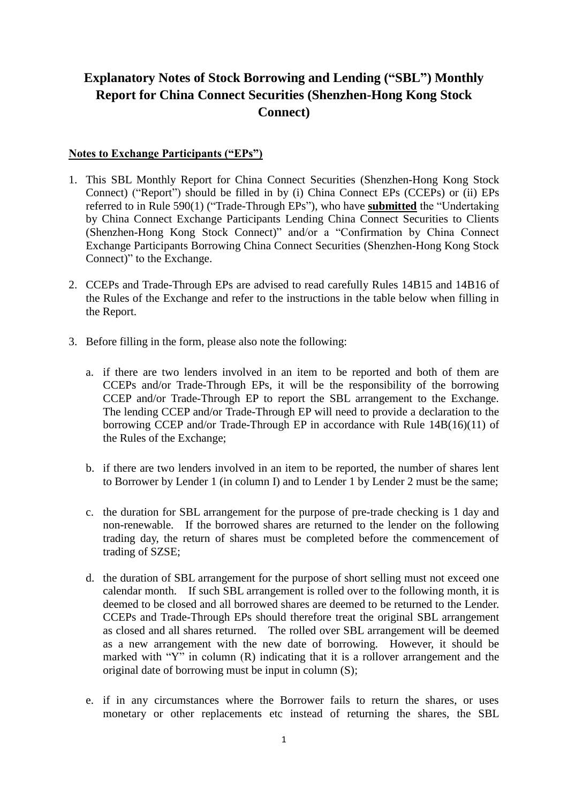## **Explanatory Notes of Stock Borrowing and Lending ("SBL") Monthly Report for China Connect Securities (Shenzhen-Hong Kong Stock Connect)**

## **Notes to Exchange Participants ("EPs")**

- 1. This SBL Monthly Report for China Connect Securities (Shenzhen-Hong Kong Stock Connect) ("Report") should be filled in by (i) China Connect EPs (CCEPs) or (ii) EPs referred to in Rule 590(1) ("Trade-Through EPs"), who have **submitted** the "Undertaking by China Connect Exchange Participants Lending China Connect Securities to Clients (Shenzhen-Hong Kong Stock Connect)" and/or a "Confirmation by China Connect Exchange Participants Borrowing China Connect Securities (Shenzhen-Hong Kong Stock Connect)" to the Exchange.
- 2. CCEPs and Trade-Through EPs are advised to read carefully Rules 14B15 and 14B16 of the Rules of the Exchange and refer to the instructions in the table below when filling in the Report.
- 3. Before filling in the form, please also note the following:
	- a. if there are two lenders involved in an item to be reported and both of them are CCEPs and/or Trade-Through EPs, it will be the responsibility of the borrowing CCEP and/or Trade-Through EP to report the SBL arrangement to the Exchange. The lending CCEP and/or Trade-Through EP will need to provide a declaration to the borrowing CCEP and/or Trade-Through EP in accordance with Rule 14B(16)(11) of the Rules of the Exchange;
	- b. if there are two lenders involved in an item to be reported, the number of shares lent to Borrower by Lender 1 (in column I) and to Lender 1 by Lender 2 must be the same;
	- c. the duration for SBL arrangement for the purpose of pre-trade checking is 1 day and non-renewable. If the borrowed shares are returned to the lender on the following trading day, the return of shares must be completed before the commencement of trading of SZSE;
	- d. the duration of SBL arrangement for the purpose of short selling must not exceed one calendar month. If such SBL arrangement is rolled over to the following month, it is deemed to be closed and all borrowed shares are deemed to be returned to the Lender. CCEPs and Trade-Through EPs should therefore treat the original SBL arrangement as closed and all shares returned. The rolled over SBL arrangement will be deemed as a new arrangement with the new date of borrowing. However, it should be marked with " $Y''$  in column (R) indicating that it is a rollover arrangement and the original date of borrowing must be input in column (S);
	- e. if in any circumstances where the Borrower fails to return the shares, or uses monetary or other replacements etc instead of returning the shares, the SBL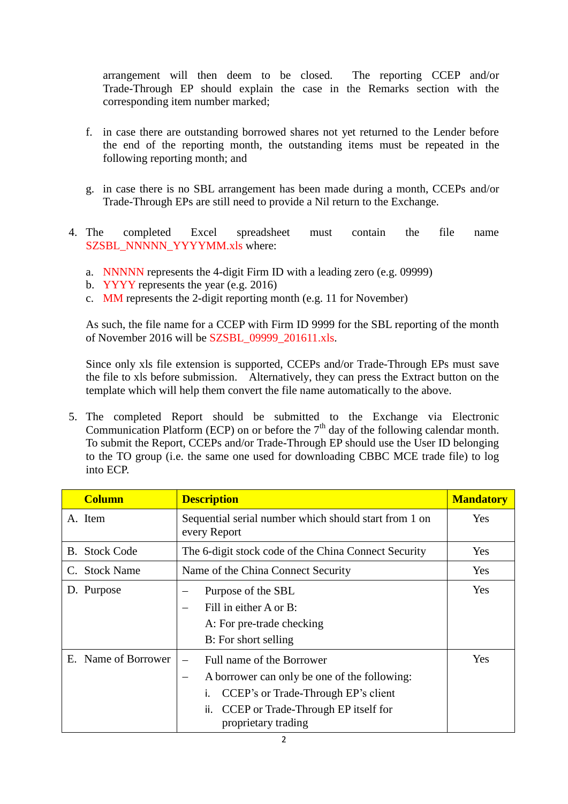arrangement will then deem to be closed. The reporting CCEP and/or Trade-Through EP should explain the case in the Remarks section with the corresponding item number marked;

- f. in case there are outstanding borrowed shares not yet returned to the Lender before the end of the reporting month, the outstanding items must be repeated in the following reporting month; and
- g. in case there is no SBL arrangement has been made during a month, CCEPs and/or Trade-Through EPs are still need to provide a Nil return to the Exchange.
- 4. The completed Excel spreadsheet must contain the file name SZSBL\_NNNNN\_YYYYMM.xls where:
	- a. NNNNN represents the 4-digit Firm ID with a leading zero (e.g. 09999)
	- b. YYYY represents the year (e.g. 2016)
	- c. MM represents the 2-digit reporting month (e.g. 11 for November)

As such, the file name for a CCEP with Firm ID 9999 for the SBL reporting of the month of November 2016 will be SZSBL\_09999\_201611.xls.

Since only xls file extension is supported, CCEPs and/or Trade-Through EPs must save the file to xls before submission. Alternatively, they can press the Extract button on the template which will help them convert the file name automatically to the above.

5. The completed Report should be submitted to the Exchange via Electronic Communication Platform (ECP) on or before the  $7<sup>th</sup>$  day of the following calendar month. To submit the Report, CCEPs and/or Trade-Through EP should use the User ID belonging to the TO group (i.e. the same one used for downloading CBBC MCE trade file) to log into ECP.

| <b>Column</b>        | <b>Description</b>                                                                                                                                                                         | <b>Mandatory</b> |
|----------------------|--------------------------------------------------------------------------------------------------------------------------------------------------------------------------------------------|------------------|
| A. Item              | Sequential serial number which should start from 1 on<br>every Report                                                                                                                      | <b>Yes</b>       |
| <b>B.</b> Stock Code | The 6-digit stock code of the China Connect Security                                                                                                                                       | Yes              |
| C. Stock Name        | Name of the China Connect Security                                                                                                                                                         | Yes              |
| D. Purpose           | Purpose of the SBL<br>Fill in either A or B:<br>A: For pre-trade checking<br>B: For short selling                                                                                          | Yes              |
| E. Name of Borrower  | Full name of the Borrower<br>A borrower can only be one of the following:<br>-<br>CCEP's or Trade-Through EP's client<br>CCEP or Trade-Through EP itself for<br>ii.<br>proprietary trading | Yes              |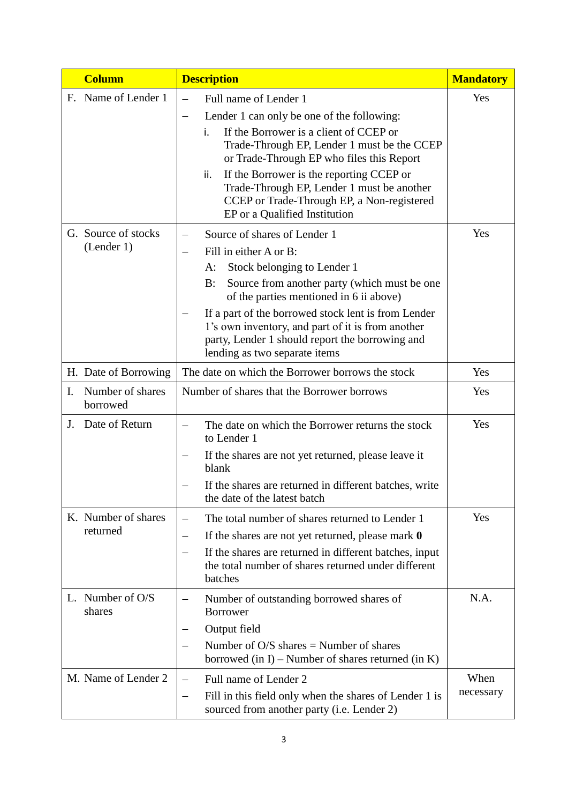|    | <b>Column</b>                     | <b>Description</b>                                                                                                                                                                                                                                                                                                                                                                                        | <b>Mandatory</b>  |
|----|-----------------------------------|-----------------------------------------------------------------------------------------------------------------------------------------------------------------------------------------------------------------------------------------------------------------------------------------------------------------------------------------------------------------------------------------------------------|-------------------|
|    | F. Name of Lender 1               | Full name of Lender 1<br>—<br>Lender 1 can only be one of the following:<br>—<br>If the Borrower is a client of CCEP or<br>i.<br>Trade-Through EP, Lender 1 must be the CCEP<br>or Trade-Through EP who files this Report<br>If the Borrower is the reporting CCEP or<br>ii.<br>Trade-Through EP, Lender 1 must be another<br>CCEP or Trade-Through EP, a Non-registered<br>EP or a Qualified Institution | Yes               |
|    | G. Source of stocks<br>(Lender 1) | Source of shares of Lender 1<br>Fill in either A or B:<br>Stock belonging to Lender 1<br>A:<br>Source from another party (which must be one<br>B:<br>of the parties mentioned in 6 ii above)<br>If a part of the borrowed stock lent is from Lender<br>1's own inventory, and part of it is from another<br>party, Lender 1 should report the borrowing and<br>lending as two separate items              | Yes               |
|    | H. Date of Borrowing              | The date on which the Borrower borrows the stock                                                                                                                                                                                                                                                                                                                                                          | Yes               |
| I. | Number of shares<br>borrowed      | Number of shares that the Borrower borrows                                                                                                                                                                                                                                                                                                                                                                | Yes               |
| J. | Date of Return                    | The date on which the Borrower returns the stock<br>$\overline{\phantom{0}}$<br>to Lender 1<br>If the shares are not yet returned, please leave it<br>blank<br>If the shares are returned in different batches, write<br>the date of the latest batch                                                                                                                                                     | Yes               |
|    | K. Number of shares<br>returned   | The total number of shares returned to Lender 1<br>—<br>If the shares are not yet returned, please mark $\theta$<br>—<br>If the shares are returned in different batches, input<br>—<br>the total number of shares returned under different<br>batches                                                                                                                                                    | Yes               |
|    | L. Number of O/S<br>shares        | Number of outstanding borrowed shares of<br>—<br><b>Borrower</b><br>Output field<br>Number of $O/S$ shares = Number of shares<br>borrowed (in I) – Number of shares returned (in K)                                                                                                                                                                                                                       | N.A.              |
|    | M. Name of Lender 2               | Full name of Lender 2<br>Fill in this field only when the shares of Lender 1 is<br>$\qquad \qquad -$<br>sourced from another party (i.e. Lender 2)                                                                                                                                                                                                                                                        | When<br>necessary |